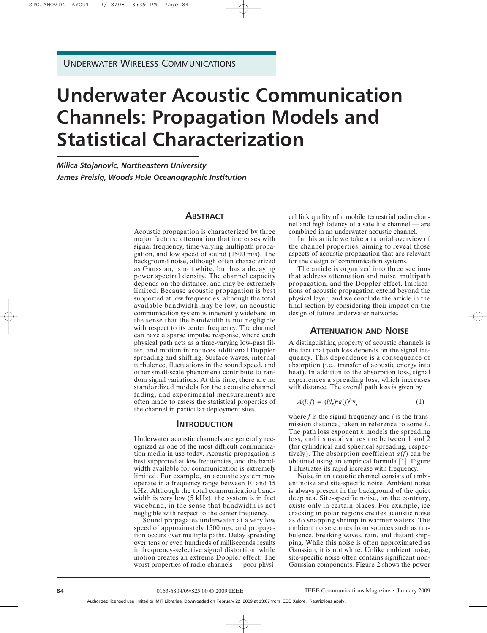# **Underwater Acoustic Communication Channels: Propagation Models and Statistical Characterization**

*Milica Stojanovic, Northeastern University James Preisig, Woods Hole Oceanographic Institution*

## **ABSTRACT**

Acoustic propagation is characterized by three major factors: attenuation that increases with signal frequency, time-varying multipath propagation, and low speed of sound (1500 m/s). The background noise, although often characterized as Gaussian, is not white, but has a decaying power spectral density. The channel capacity depends on the distance, and may be extremely limited. Because acoustic propagation is best supported at low frequencies, although the total available bandwidth may be low, an acoustic communication system is inherently wideband in the sense that the bandwidth is not negligible with respect to its center frequency. The channel can have a sparse impulse response, where each physical path acts as a time-varying low-pass filter, and motion introduces additional Doppler spreading and shifting. Surface waves, internal turbulence, fluctuations in the sound speed, and other small-scale phenomena contribute to random signal variations. At this time, there are no standardized models for the acoustic channel fading, and experimental measurements are often made to assess the statistical properties of the channel in particular deployment sites.

# **INTRODUCTION**

Underwater acoustic channels are generally recognized as one of the most difficult communication media in use today. Acoustic propagation is best supported at low frequencies, and the bandwidth available for communication is extremely limited. For example, an acoustic system may operate in a frequency range between 10 and 15 kHz. Although the total communication bandwidth is very low (5 kHz), the system is in fact wideband, in the sense that bandwidth is not negligible with respect to the center frequency.

Sound propagates underwater at a very low speed of approximately 1500 m/s, and propagation occurs over multiple paths. Delay spreading over tens or even hundreds of milliseconds results in frequency-selective signal distortion, while motion creates an extreme Doppler effect. The worst properties of radio channels — poor physical link quality of a mobile terrestrial radio channel and high latency of a satellite channel — are combined in an underwater acoustic channel.

In this article we take a tutorial overview of the channel properties, aiming to reveal those aspects of acoustic propagation that are relevant for the design of communication systems.

The article is organized into three sections that address attenuation and noise, multipath propagation, and the Doppler effect. Implications of acoustic propagation extend beyond the physical layer, and we conclude the article in the final section by considering their impact on the design of future underwater networks.

## **ATTENUATION AND NOISE**

A distinguishing property of acoustic channels is the fact that path loss depends on the signal frequency. This dependence is a consequence of absorption (i.e., transfer of acoustic energy into heat). In addition to the absorption loss, signal experiences a spreading loss, which increases with distance. The overall path loss is given by

$$
A(l,f) = (l/l_r)^{k} a(f)^{l-l_r}, \qquad (1)
$$

where *f* is the signal frequency and *l* is the transmission distance, taken in reference to some *lr*. The path loss exponent *k* models the spreading loss, and its usual values are between 1 and 2 (for cylindrical and spherical spreading, respectively). The absorption coefficient  $a(f)$  can be obtained using an empirical formula [1]. Figure 1 illustrates its rapid increase with frequency.

Noise in an acoustic channel consists of ambient noise and site-specific noise. Ambient noise is always present in the background of the quiet deep sea. Site-specific noise, on the contrary, exists only in certain places. For example, ice cracking in polar regions creates acoustic noise as do snapping shrimp in warmer waters. The ambient noise comes from sources such as turbulence, breaking waves, rain, and distant shipping. While this noise is often approximated as Gaussian, it is not white. Unlike ambient noise, site-specific noise often contains significant non-Gaussian components. Figure 2 shows the power

Authorized licensed use limited to: MIT Libraries. Downloaded on February 22, 2009 at 13:07 from IEEE Xplore. Restrictions apply.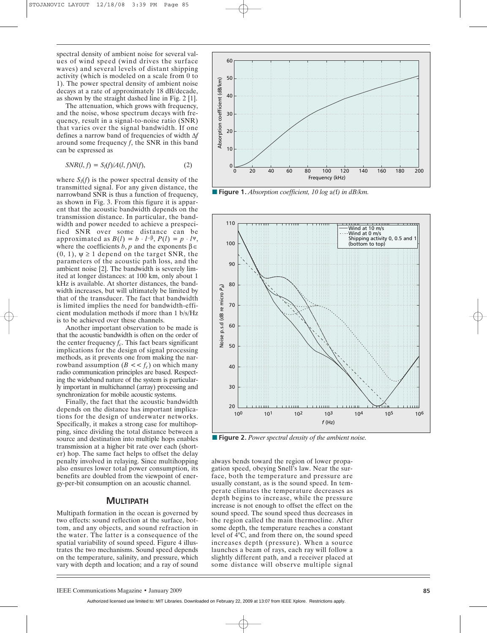spectral density of ambient noise for several values of wind speed (wind drives the surface waves) and several levels of distant shipping activity (which is modeled on a scale from 0 to 1). The power spectral density of ambient noise decays at a rate of approximately 18 dB/decade, as shown by the straight dashed line in Fig. 2 [1].

The attenuation, which grows with frequency, and the noise, whose spectrum decays with frequency, result in a signal-to-noise ratio (SNR) that varies over the signal bandwidth. If one defines a narrow band of frequencies of width ∆*f* around some frequency *f*, the SNR in this band can be expressed as

$$
SNR(l, f) = S_l(f)/A(l, f)N(f), \qquad (2)
$$

where  $S_l(f)$  is the power spectral density of the transmitted signal. For any given distance, the narrowband SNR is thus a function of frequency, as shown in Fig. 3. From this figure it is apparent that the acoustic bandwidth depends on the transmission distance. In particular, the bandwidth and power needed to achieve a prespecified SNR over some distance can be approximated as  $B(l) = b \cdot l^{-\beta}, P(l) = p \cdot l^{\psi},$ where the coefficients *b*, *p* and the exponents  $\beta \in$  $(0, 1)$ ,  $\psi \ge 1$  depend on the target SNR, the parameters of the acoustic path loss, and the ambient noise [2]. The bandwidth is severely limited at longer distances: at 100 km, only about 1 kHz is available. At shorter distances, the bandwidth increases, but will ultimately be limited by that of the transducer. The fact that bandwidth is limited implies the need for bandwidth-efficient modulation methods if more than 1 b/s/Hz is to be achieved over these channels.

Another important observation to be made is that the acoustic bandwidth is often on the order of the center frequency  $f_c$ . This fact bears significant implications for the design of signal processing methods, as it prevents one from making the narrowband assumption  $(B \lt t f_c)$  on which many radio communication principles are based. Respecting the wideband nature of the system is particularly important in multichannel (array) processing and synchronization for mobile acoustic systems.

Finally, the fact that the acoustic bandwidth depends on the distance has important implications for the design of underwater networks. Specifically, it makes a strong case for multihopping, since dividing the total distance between a source and destination into multiple hops enables transmission at a higher bit rate over each (shorter) hop. The same fact helps to offset the delay penalty involved in relaying. Since multihopping also ensures lower total power consumption, its benefits are doubled from the viewpoint of energy-per-bit consumption on an acoustic channel.

## **MULTIPATH**

Multipath formation in the ocean is governed by two effects: sound reflection at the surface, bottom, and any objects, and sound refraction in the water. The latter is a consequence of the spatial variability of sound speed. Figure 4 illustrates the two mechanisms. Sound speed depends on the temperature, salinity, and pressure, which vary with depth and location; and a ray of sound



■ **Figure 1.** *Absorption coefficient, 10 log a(f) in dB/km.* 



**■ Figure 2.** *Power spectral density of the ambient noise.*

always bends toward the region of lower propagation speed, obeying Snell's law. Near the surface, both the temperature and pressure are usually constant, as is the sound speed. In temperate climates the temperature decreases as depth begins to increase, while the pressure increase is not enough to offset the effect on the sound speed. The sound speed thus decreases in the region called the main thermocline. After some depth, the temperature reaches a constant level of 4°C, and from there on, the sound speed increases depth (pressure). When a source launches a beam of rays, each ray will follow a slightly different path, and a receiver placed at some distance will observe multiple signal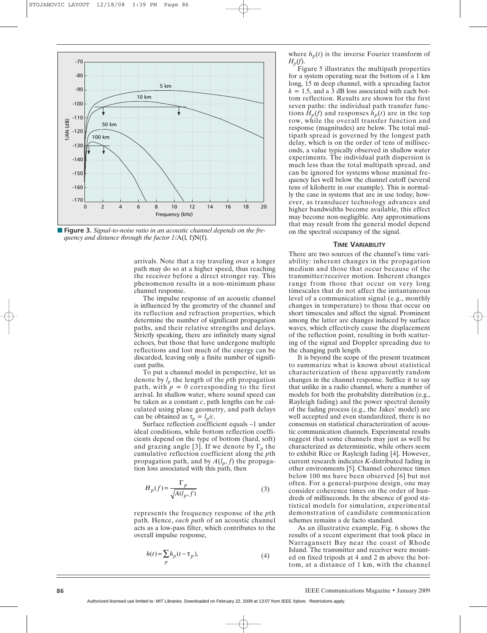

■ **Figure 3.** *Signal-to-noise ratio in an acoustic channel depends on the frequency and distance through the factor 1/*A(l*,* f)N(f)*.*

arrivals. Note that a ray traveling over a longer path may do so at a higher speed, thus reaching the receiver before a direct stronger ray. This phenomenon results in a non-minimum phase channel response.

The impulse response of an acoustic channel is influenced by the geometry of the channel and its reflection and refraction properties, which determine the number of significant propagation paths, and their relative strengths and delays. Strictly speaking, there are infinitely many signal echoes, but those that have undergone multiple reflections and lost much of the energy can be discarded, leaving only a finite number of significant paths.

To put a channel model in perspective, let us denote by *lp* the length of the *p*th propagation path, with  $p = 0$  corresponding to the first arrival. In shallow water, where sound speed can be taken as a constant *c*, path lengths can be calculated using plane geometry, and path delays can be obtained as  $\tau_p = l_p/c$ .

Surface reflection coefficient equals –1 under ideal conditions, while bottom reflection coefficients depend on the type of bottom (hard, soft) and grazing angle [3]. If we denote by Γ*<sup>p</sup>* the cumulative reflection coefficient along the *p*th propagation path, and by  $A(l_p, f)$  the propagation loss associated with this path, then

$$
H_p(f) = \frac{\Gamma_p}{\sqrt{A(l_p, f)}}
$$
\n(3)

represents the frequency response of the *p*th path. Hence, *each path* of an acoustic channel acts as a low-pass filter, which contributes to the overall impulse response,

$$
h(t) = \sum h_p(t - \tau_p),\tag{4}
$$

*p*

where  $h_p(t)$  is the inverse Fourier transform of  $H_p(f)$ .

Figure 5 illustrates the multipath properties for a system operating near the bottom of a 1 km long, 15 m deep channel, with a spreading factor  $k = 1.5$ , and a 3 dB loss associated with each bottom reflection. Results are shown for the first seven paths: the individual path transfer functions  $H_p(f)$  and responses  $h_p(t)$  are in the top row, while the overall transfer function and response (magnitudes) are below. The total multipath spread is governed by the longest path delay, which is on the order of tens of milliseconds, a value typically observed in shallow water experiments. The individual path dispersion is much less than the total multipath spread, and can be ignored for systems whose maximal frequency lies well below the channel cutoff (several tens of kilohertz in our example). This is normally the case in systems that are in use today; however, as transducer technology advances and higher bandwidths become available, this effect may become non-negligible. Any approximations that may result from the general model depend on the spectral occupancy of the signal.

#### **TIME VARIABILITY**

There are two sources of the channel's time variability: inherent changes in the propagation medium and those that occur because of the transmitter/receiver motion. Inherent changes range from those that occur on very long timescales that do not affect the instantaneous level of a communication signal (e.g., monthly changes in temperature) to those that occur on short timescales and affect the signal. Prominent among the latter are changes induced by surface waves, which effectively cause the displacement of the reflection point, resulting in both scattering of the signal and Doppler spreading due to the changing path length.

It is beyond the scope of the present treatment to summarize what is known about statistical characterization of these apparently random changes in the channel response. Suffice it to say that unlike in a radio channel, where a number of models for both the probability distribution (e.g., Rayleigh fading) and the power spectral density of the fading process (e.g., the Jakes' model) are well accepted and even standardized, there is no consensus on statistical characterization of acoustic communication channels. Experimental results suggest that some channels may just as well be characterized as deterministic, while others seem to exhibit Rice or Rayleigh fading [4]. However, current research indicates *K*-distributed fading in other environments [5]. Channel coherence times below 100 ms have been observed [6] but not often. For a general-purpose design, one may consider coherence times on the order of hundreds of milliseconds. In the absence of good statistical models for simulation, experimental demonstration of candidate communication schemes remains a de facto standard.

As an illustrative example, Fig. 6 shows the results of a recent experiment that took place in Narragansett Bay near the coast of Rhode Island. The transmitter and receiver were mounted on fixed tripods at 4 and 2 m above the bottom, at a distance of 1 km, with the channel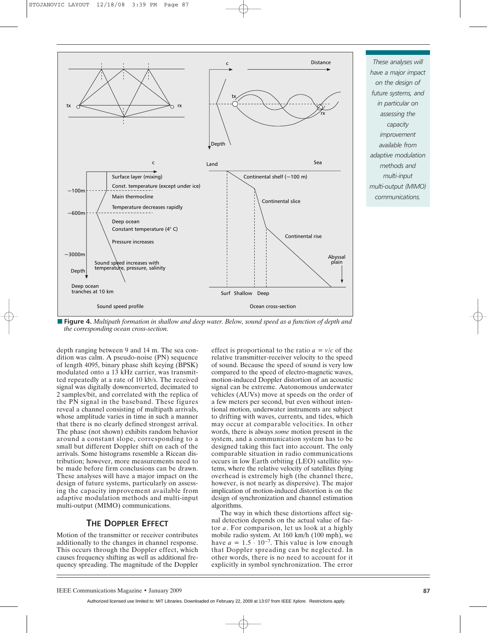

*These analyses will have a major impact on the design of future systems, and in particular on assessing the capacity improvement available from adaptive modulation methods and multi-input multi-output (MIMO) communications.*

**■ Figure 4.** *Multipath formation in shallow and deep water. Below, sound speed as a function of depth and the corresponding ocean cross-section.*

depth ranging between 9 and 14 m. The sea condition was calm. A pseudo-noise (PN) sequence of length 4095, binary phase shift keying (BPSK) modulated onto a 13 kHz carrier, was transmitted repeatedly at a rate of 10 kb/s. The received signal was digitally downconverted, decimated to 2 samples/bit, and correlated with the replica of the PN signal in the baseband. These figures reveal a channel consisting of multipath arrivals, whose amplitude varies in time in such a manner that there is no clearly defined strongest arrival. The phase (not shown) exhibits random behavior around a constant slope, corresponding to a small but different Doppler shift on each of the arrivals. Some histograms resemble a Ricean distribution; however, more measurements need to be made before firm conclusions can be drawn. These analyses will have a major impact on the design of future systems, particularly on assessing the capacity improvement available from adaptive modulation methods and multi-input multi-output (MIMO) communications.

# **THE DOPPLER EFFECT**

Motion of the transmitter or receiver contributes additionally to the changes in channel response. This occurs through the Doppler effect, which causes frequency shifting as well as additional frequency spreading. The magnitude of the Doppler effect is proportional to the ratio  $a = v/c$  of the relative transmitter-receiver velocity to the speed of sound. Because the speed of sound is very low compared to the speed of electro-magnetic waves, motion-induced Doppler distortion of an acoustic signal can be extreme. Autonomous underwater vehicles (AUVs) move at speeds on the order of a few meters per second, but even without intentional motion, underwater instruments are subject to drifting with waves, currents, and tides, which may occur at comparable velocities. In other words, there is always *some* motion present in the system, and a communication system has to be designed taking this fact into account. The only comparable situation in radio communications occurs in low Earth orbiting (LEO) satellite systems, where the relative velocity of satellites flying overhead is extremely high (the channel there, however, is not nearly as dispersive). The major implication of motion-induced distortion is on the design of synchronization and channel estimation algorithms.

The way in which these distortions affect signal detection depends on the actual value of factor *a*. For comparison, let us look at a highly mobile radio system. At 160 km/h (100 mph), we have  $a = 1.5 \cdot 10^{-7}$ . This value is low enough that Doppler spreading can be neglected. In other words, there is no need to account for it explicitly in symbol synchronization. The error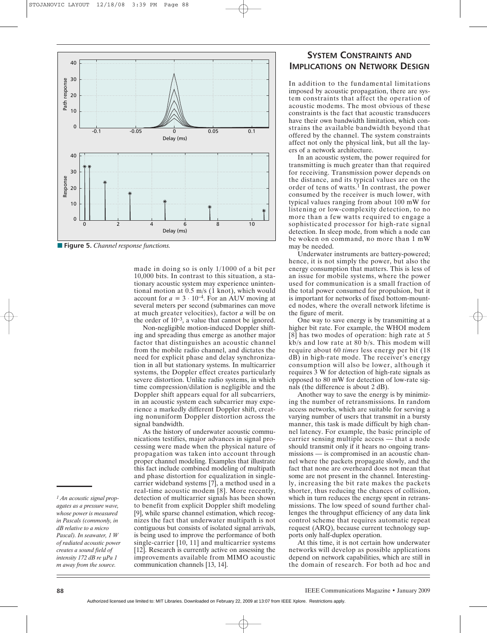

**■ Figure 5.** *Channel response functions.*

made in doing so is only 1/1000 of a bit per 10,000 bits. In contrast to this situation, a stationary acoustic system may experience unintentional motion at 0.5 m/s (1 knot), which would account for  $a = 3 \cdot 10^{-4}$ . For an AUV moving at several meters per second (submarines can move at much greater velocities), factor *a* will be on the order of  $10^{-3}$ , a value that cannot be ignored.

Non-negligible motion-induced Doppler shifting and spreading thus emerge as another major factor that distinguishes an acoustic channel from the mobile radio channel, and dictates the need for explicit phase and delay synchronization in all but stationary systems. In multicarrier systems, the Doppler effect creates particularly severe distortion. Unlike radio systems, in which time compression/dilation is negligible and the Doppler shift appears equal for all subcarriers, in an acoustic system each subcarrier may experience a markedly different Doppler shift, creating nonuniform Doppler distortion across the signal bandwidth.

As the history of underwater acoustic communications testifies, major advances in signal processing were made when the physical nature of propagation was taken into account through proper channel modeling. Examples that illustrate this fact include combined modeling of multipath and phase distortion for equalization in singlecarrier wideband systems [7], a method used in a real-time acoustic modem [8]. More recently, detection of multicarrier signals has been shown to benefit from explicit Doppler shift modeling [9], while sparse channel estimation, which recognizes the fact that underwater multipath is not contiguous but consists of isolated signal arrivals, is being used to improve the performance of both single-carrier [10, 11] and multicarrier systems [12]. Research is currently active on assessing the improvements available from MIMO acoustic communication channels [13, 14].

# **SYSTEM CONSTRAINTS AND IMPLICATIONS ON NETWORK DESIGN**

In addition to the fundamental limitations imposed by acoustic propagation, there are system constraints that affect the operation of acoustic modems. The most obvious of these constraints is the fact that acoustic transducers have their own bandwidth limitation, which constrains the available bandwidth beyond that offered by the channel. The system constraints affect not only the physical link, but all the layers of a network architecture.

In an acoustic system, the power required for transmitting is much greater than that required for receiving. Transmission power depends on the distance, and its typical values are on the order of tens of watts. $\frac{1}{1}$  In contrast, the power consumed by the receiver is much lower, with typical values ranging from about 100 mW for listening or low-complexity detection, to no more than a few watts required to engage a sophisticated processor for high-rate signal detection. In sleep mode, from which a node can be woken on command, no more than 1 mW may be needed.

Underwater instruments are battery-powered; hence, it is not simply the power, but also the energy consumption that matters. This is less of an issue for mobile systems, where the power used for communication is a small fraction of the total power consumed for propulsion, but it is important for networks of fixed bottom-mounted nodes, where the overall network lifetime is the figure of merit.

One way to save energy is by transmitting at a higher bit rate. For example, the WHOI modem [8] has two modes of operation: high rate at 5 kb/s and low rate at 80 b/s. This modem will require about 60 *times* less energy per bit (18 dB) in high-rate mode. The receiver's energy consumption will also be lower, although it requires 3 W for detection of high-rate signals as opposed to 80 mW for detection of low-rate signals (the difference is about 2 dB).

Another way to save the energy is by minimizing the number of retransmissions. In random access networks, which are suitable for serving a varying number of users that transmit in a bursty manner, this task is made difficult by high channel latency. For example, the basic principle of carrier sensing multiple access — that a node should transmit only if it hears no ongoing transmissions — is compromised in an acoustic channel where the packets propagate slowly, and the fact that none are overheard does not mean that some are not present in the channel. Interestingly, increasing the bit rate makes the packets shorter, thus reducing the chances of collision, which in turn reduces the energy spent in retransmissions. The low speed of sound further challenges the throughput efficiency of any data link control scheme that requires automatic repeat request (ARQ), because current technology supports only half-duplex operation.

At this time, it is not certain how underwater networks will develop as possible applications depend on network capabilities, which are still in the domain of research. For both ad hoc and

*<sup>1</sup> An acoustic signal propagates as a pressure wave, whose power is measured in Pascals (commonly, in dB relative to a micro Pascal). In seawater, 1 W of radiated acoustic power creates a sound field of intensity 172 dB re* µ*Pa 1 m away from the source.*